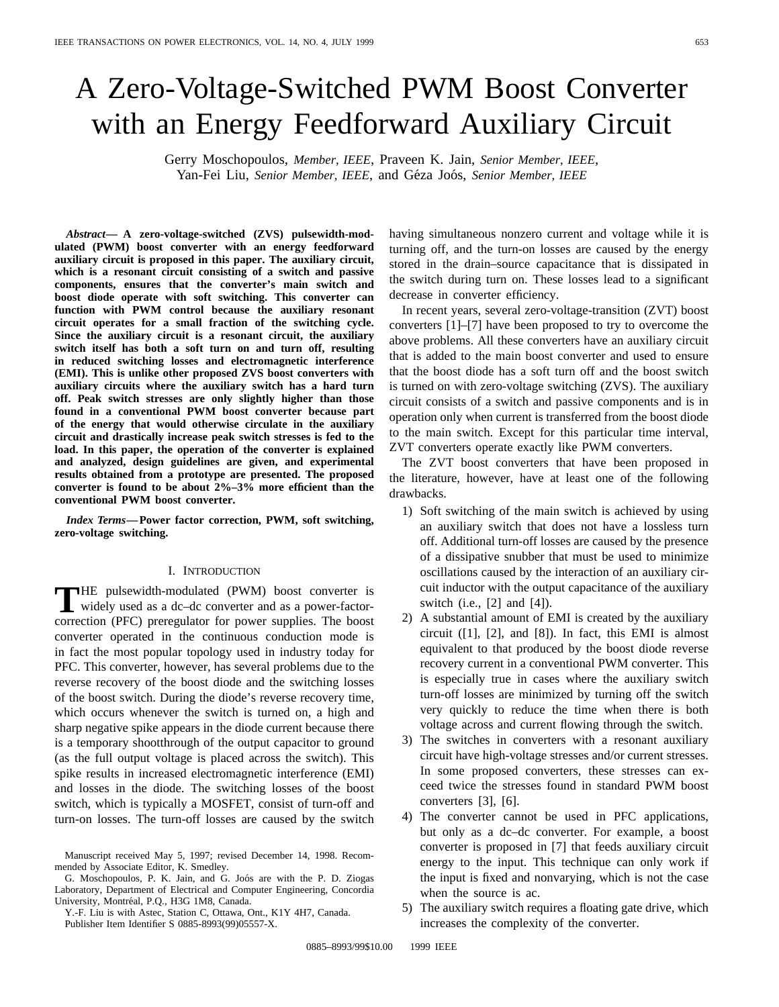# A Zero-Voltage-Switched PWM Boost Converter with an Energy Feedforward Auxiliary Circuit

Gerry Moschopoulos, *Member, IEEE*, Praveen K. Jain, *Senior Member, IEEE*, Yan-Fei Liu, Senior Member, IEEE, and Géza Joós, Senior Member, IEEE

*Abstract—* **A zero-voltage-switched (ZVS) pulsewidth-modulated (PWM) boost converter with an energy feedforward auxiliary circuit is proposed in this paper. The auxiliary circuit, which is a resonant circuit consisting of a switch and passive components, ensures that the converter's main switch and boost diode operate with soft switching. This converter can function with PWM control because the auxiliary resonant circuit operates for a small fraction of the switching cycle. Since the auxiliary circuit is a resonant circuit, the auxiliary switch itself has both a soft turn on and turn off, resulting in reduced switching losses and electromagnetic interference (EMI). This is unlike other proposed ZVS boost converters with auxiliary circuits where the auxiliary switch has a hard turn off. Peak switch stresses are only slightly higher than those found in a conventional PWM boost converter because part of the energy that would otherwise circulate in the auxiliary circuit and drastically increase peak switch stresses is fed to the load. In this paper, the operation of the converter is explained and analyzed, design guidelines are given, and experimental results obtained from a prototype are presented. The proposed converter is found to be about 2%–3% more efficient than the conventional PWM boost converter.**

*Index Terms—***Power factor correction, PWM, soft switching, zero-voltage switching.**

## I. INTRODUCTION

THE pulsewidth-modulated (PWM) boost converter is<br>widely used as a dc–dc converter and as a power-factor-<br>proposition (DEC) proposalities for nature number. The heat correction (PFC) preregulator for power supplies. The boost converter operated in the continuous conduction mode is in fact the most popular topology used in industry today for PFC. This converter, however, has several problems due to the reverse recovery of the boost diode and the switching losses of the boost switch. During the diode's reverse recovery time, which occurs whenever the switch is turned on, a high and sharp negative spike appears in the diode current because there is a temporary shootthrough of the output capacitor to ground (as the full output voltage is placed across the switch). This spike results in increased electromagnetic interference (EMI) and losses in the diode. The switching losses of the boost switch, which is typically a MOSFET, consist of turn-off and turn-on losses. The turn-off losses are caused by the switch

G. Moschopoulos, P. K. Jain, and G. Joós are with the P. D. Ziogas Laboratory, Department of Electrical and Computer Engineering, Concordia University, Montréal, P.Q., H3G 1M8, Canada.

Y.-F. Liu is with Astec, Station C, Ottawa, Ont., K1Y 4H7, Canada. Publisher Item Identifier S 0885-8993(99)05557-X.

having simultaneous nonzero current and voltage while it is turning off, and the turn-on losses are caused by the energy stored in the drain–source capacitance that is dissipated in the switch during turn on. These losses lead to a significant decrease in converter efficiency.

In recent years, several zero-voltage-transition (ZVT) boost converters [1]–[7] have been proposed to try to overcome the above problems. All these converters have an auxiliary circuit that is added to the main boost converter and used to ensure that the boost diode has a soft turn off and the boost switch is turned on with zero-voltage switching (ZVS). The auxiliary circuit consists of a switch and passive components and is in operation only when current is transferred from the boost diode to the main switch. Except for this particular time interval, ZVT converters operate exactly like PWM converters.

The ZVT boost converters that have been proposed in the literature, however, have at least one of the following drawbacks.

- 1) Soft switching of the main switch is achieved by using an auxiliary switch that does not have a lossless turn off. Additional turn-off losses are caused by the presence of a dissipative snubber that must be used to minimize oscillations caused by the interaction of an auxiliary circuit inductor with the output capacitance of the auxiliary switch (i.e., [2] and [4]).
- 2) A substantial amount of EMI is created by the auxiliary circuit  $([1], [2],$  and  $[8]$ ). In fact, this EMI is almost equivalent to that produced by the boost diode reverse recovery current in a conventional PWM converter. This is especially true in cases where the auxiliary switch turn-off losses are minimized by turning off the switch very quickly to reduce the time when there is both voltage across and current flowing through the switch.
- 3) The switches in converters with a resonant auxiliary circuit have high-voltage stresses and/or current stresses. In some proposed converters, these stresses can exceed twice the stresses found in standard PWM boost converters [3], [6].
- 4) The converter cannot be used in PFC applications, but only as a dc–dc converter. For example, a boost converter is proposed in [7] that feeds auxiliary circuit energy to the input. This technique can only work if the input is fixed and nonvarying, which is not the case when the source is ac.
- 5) The auxiliary switch requires a floating gate drive, which increases the complexity of the converter.

Manuscript received May 5, 1997; revised December 14, 1998. Recommended by Associate Editor, K. Smedley.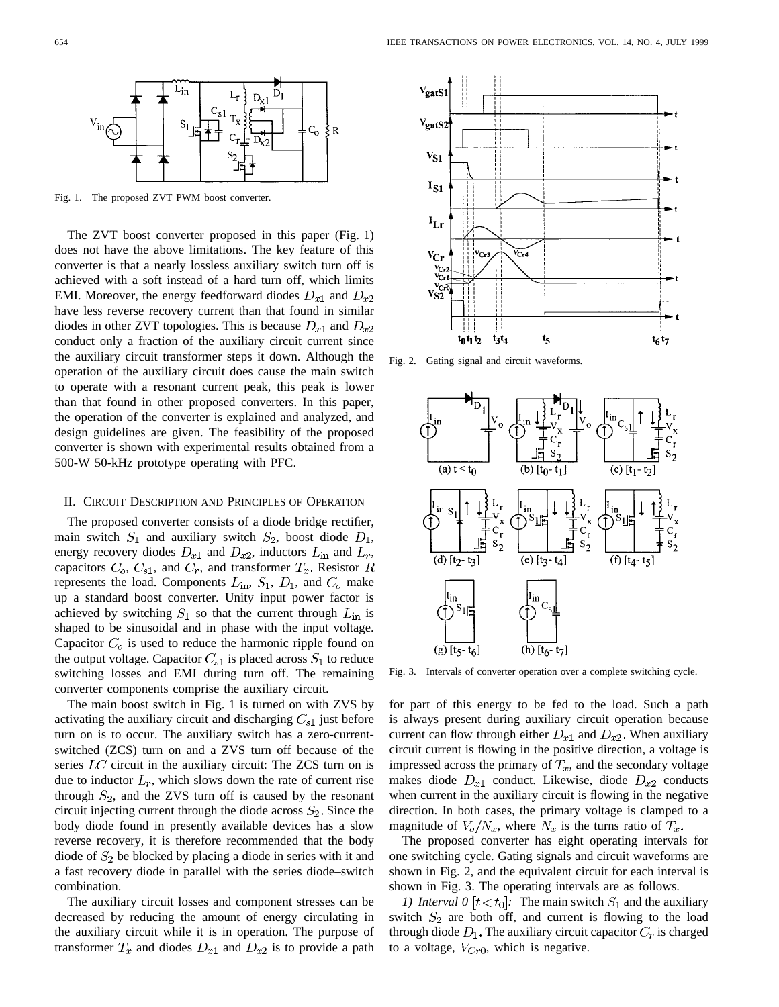

Fig. 1. The proposed ZVT PWM boost converter.

The ZVT boost converter proposed in this paper (Fig. 1) does not have the above limitations. The key feature of this converter is that a nearly lossless auxiliary switch turn off is achieved with a soft instead of a hard turn off, which limits EMI. Moreover, the energy feedforward diodes  $D_{x1}$  and  $D_{x2}$ have less reverse recovery current than that found in similar diodes in other ZVT topologies. This is because  $D_{x1}$  and  $D_{x2}$ conduct only a fraction of the auxiliary circuit current since the auxiliary circuit transformer steps it down. Although the operation of the auxiliary circuit does cause the main switch to operate with a resonant current peak, this peak is lower than that found in other proposed converters. In this paper, the operation of the converter is explained and analyzed, and design guidelines are given. The feasibility of the proposed converter is shown with experimental results obtained from a 500-W 50-kHz prototype operating with PFC.

#### II. CIRCUIT DESCRIPTION AND PRINCIPLES OF OPERATION

The proposed converter consists of a diode bridge rectifier, main switch  $S_1$  and auxiliary switch  $S_2$ , boost diode  $D_1$ , energy recovery diodes  $D_{x1}$  and  $D_{x2}$ , inductors  $L_{\text{in}}$  and  $L_{r}$ , capacitors  $C_o$ ,  $C_{s1}$ , and  $C_r$ , and transformer  $T_x$ . Resistor R represents the load. Components  $L_{\text{in}}$ ,  $S_1$ ,  $D_1$ , and  $C_o$  make up a standard boost converter. Unity input power factor is achieved by switching  $S_1$  so that the current through  $L_{\text{in}}$  is shaped to be sinusoidal and in phase with the input voltage. Capacitor  $C<sub>o</sub>$  is used to reduce the harmonic ripple found on the output voltage. Capacitor  $C_{s1}$  is placed across  $S_1$  to reduce switching losses and EMI during turn off. The remaining converter components comprise the auxiliary circuit.

The main boost switch in Fig. 1 is turned on with ZVS by activating the auxiliary circuit and discharging  $C_{s1}$  just before turn on is to occur. The auxiliary switch has a zero-currentswitched (ZCS) turn on and a ZVS turn off because of the series  $LC$  circuit in the auxiliary circuit: The  $ZCS$  turn on is due to inductor  $L_r$ , which slows down the rate of current rise through  $S_2$ , and the ZVS turn off is caused by the resonant circuit injecting current through the diode across  $S_2$ . Since the body diode found in presently available devices has a slow reverse recovery, it is therefore recommended that the body diode of  $S_2$  be blocked by placing a diode in series with it and a fast recovery diode in parallel with the series diode–switch combination.

The auxiliary circuit losses and component stresses can be decreased by reducing the amount of energy circulating in the auxiliary circuit while it is in operation. The purpose of transformer  $T_x$  and diodes  $D_{x1}$  and  $D_{x2}$  is to provide a path



Fig. 2. Gating signal and circuit waveforms.



Fig. 3. Intervals of converter operation over a complete switching cycle.

for part of this energy to be fed to the load. Such a path is always present during auxiliary circuit operation because current can flow through either  $D_{x1}$  and  $D_{x2}$ . When auxiliary circuit current is flowing in the positive direction, a voltage is impressed across the primary of  $T_x$ , and the secondary voltage makes diode  $D_{x1}$  conduct. Likewise, diode  $D_{x2}$  conducts when current in the auxiliary circuit is flowing in the negative direction. In both cases, the primary voltage is clamped to a magnitude of  $V_o/N_x$ , where  $N_x$  is the turns ratio of  $T_x$ .

The proposed converter has eight operating intervals for one switching cycle. Gating signals and circuit waveforms are shown in Fig. 2, and the equivalent circuit for each interval is shown in Fig. 3. The operating intervals are as follows.

*1) Interval 0*  $[t < t_0]$ : The main switch  $S_1$  and the auxiliary switch  $S_2$  are both off, and current is flowing to the load through diode  $D_1$ . The auxiliary circuit capacitor  $C_r$  is charged to a voltage,  $V_{Cr0}$ , which is negative.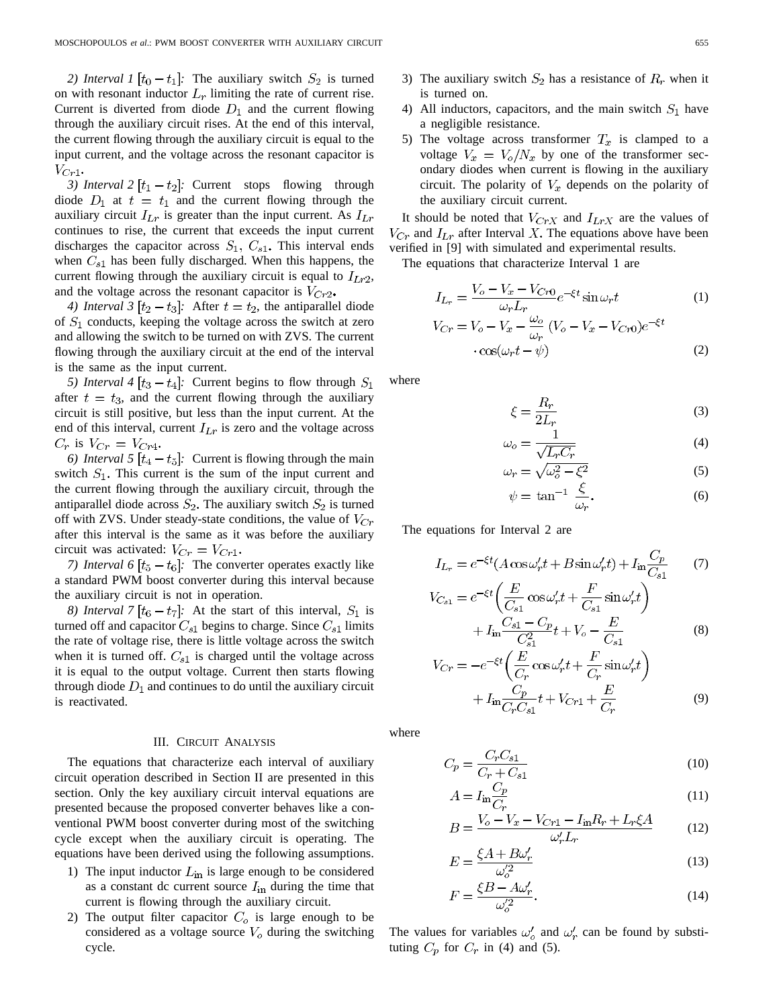2) Interval 1  $[t_0 - t_1]$ : The auxiliary switch  $S_2$  is turned on with resonant inductor  $L<sub>r</sub>$  limiting the rate of current rise. Current is diverted from diode  $D_1$  and the current flowing through the auxiliary circuit rises. At the end of this interval, the current flowing through the auxiliary circuit is equal to the input current, and the voltage across the resonant capacitor is  $V_{Cr1}$ 

*3) Interval* 2  $[t_1 - t_2]$ : Current stops flowing through diode  $D_1$  at  $t = t_1$  and the current flowing through the auxiliary circuit  $I_{Lr}$  is greater than the input current. As  $I_{Lr}$ continues to rise, the current that exceeds the input current discharges the capacitor across  $S_1$ ,  $C_{s1}$ . This interval ends when  $C_{s1}$  has been fully discharged. When this happens, the current flowing through the auxiliary circuit is equal to  $I_{Lr2}$ , and the voltage across the resonant capacitor is  $V_{Cr2}$ .

*4) Interval 3*  $[t_2 - t_3]$ : After  $t = t_2$ , the antiparallel diode of  $S_1$  conducts, keeping the voltage across the switch at zero and allowing the switch to be turned on with ZVS. The current flowing through the auxiliary circuit at the end of the interval is the same as the input current.

*5) Interval 4*  $[t_3 - t_4]$ : Current begins to flow through  $S_1$ after  $t = t_3$ , and the current flowing through the auxiliary circuit is still positive, but less than the input current. At the end of this interval, current  $I_{Lr}$  is zero and the voltage across  $C_r$  is  $V_{Cr} = V_{Cr4}$ .

6) Interval 5  $[t_4 - t_5]$ . Current is flowing through the main switch  $S_1$ . This current is the sum of the input current and the current flowing through the auxiliary circuit, through the antiparallel diode across  $S_2$ . The auxiliary switch  $S_2$  is turned off with ZVS. Under steady-state conditions, the value of  $V_{Cr}$ after this interval is the same as it was before the auxiliary circuit was activated:  $V_{Cr} = V_{Cr1}$ .

*7) Interval* 6  $[t_5 - t_6]$ : The converter operates exactly like a standard PWM boost converter during this interval because the auxiliary circuit is not in operation.

*8) Interval*  $7[t_6 - t_7]$ : At the start of this interval,  $S_1$  is turned off and capacitor  $C_{s1}$  begins to charge. Since  $C_{s1}$  limits the rate of voltage rise, there is little voltage across the switch when it is turned off.  $C_{s1}$  is charged until the voltage across it is equal to the output voltage. Current then starts flowing through diode  $D_1$  and continues to do until the auxiliary circuit is reactivated.

#### III. CIRCUIT ANALYSIS

The equations that characterize each interval of auxiliary circuit operation described in Section II are presented in this section. Only the key auxiliary circuit interval equations are presented because the proposed converter behaves like a conventional PWM boost converter during most of the switching cycle except when the auxiliary circuit is operating. The equations have been derived using the following assumptions.

- 1) The input inductor  $L_{\text{in}}$  is large enough to be considered as a constant dc current source  $I_{\text{in}}$  during the time that current is flowing through the auxiliary circuit.
- 2) The output filter capacitor  $C<sub>o</sub>$  is large enough to be considered as a voltage source  $V<sub>o</sub>$  during the switching cycle.
- 3) The auxiliary switch  $S_2$  has a resistance of  $R_r$  when it is turned on.
- 4) All inductors, capacitors, and the main switch  $S_1$  have a negligible resistance.
- 5) The voltage across transformer  $T_x$  is clamped to a voltage  $V_x = V_o/N_x$  by one of the transformer secondary diodes when current is flowing in the auxiliary circuit. The polarity of  $V_x$  depends on the polarity of the auxiliary circuit current.

It should be noted that  $V_{CrX}$  and  $I_{LrX}$  are the values of  $V_{Cr}$  and  $I_{Lr}$  after Interval X. The equations above have been verified in [9] with simulated and experimental results.

The equations that characterize Interval 1 are

$$
I_{L_r} = \frac{V_o - V_x - V_{Cr0}}{\omega_r L_r} e^{-\xi t} \sin \omega_r t
$$
 (1)  

$$
V_{Cr} = V_o - V_x - \frac{\omega_o}{V_c} (V_o - V_x - V_{Cr0}) e^{-\xi t}
$$

$$
V_{Cr} = V_o - V_x - \frac{\omega_o}{\omega_r} (V_o - V_x - V_{Cr0})e^{-\xi t}
$$

$$
\cdot \cos(\omega_r t - \psi)
$$
 (2)

where

$$
\xi = \frac{R_r}{2L_r} \tag{3}
$$

$$
\omega_o = \frac{1}{\sqrt{I_w C_n}}\tag{4}
$$

$$
\omega_r = \sqrt{\omega_o^2 - \xi^2} \tag{5}
$$

$$
\psi = \tan^{-1} \frac{\varsigma}{\omega_r}.\tag{6}
$$

The equations for Interval 2 are

$$
I_{L_r} = e^{-\xi t} (A \cos \omega'_r t + B \sin \omega'_r t) + I_{\rm in} \frac{C_p}{C_{s1}} \tag{7}
$$

$$
V_{C_{s1}} = e^{-\xi t} \left( \frac{E}{C_{s1}} \cos \omega'_r t + \frac{F}{C_{s1}} \sin \omega'_r t \right)
$$

$$
+I_{\text{in}}\frac{C_{s1} - C_p}{C_{s1}^2}t + V_o - \frac{E}{C_{s1}}\tag{8}
$$

$$
V_{Cr} = -e^{-\xi t} \left( \frac{E}{C_r} \cos \omega_r' t + \frac{F}{C_r} \sin \omega_r' t \right)
$$

$$
+ I_{\text{in}} \frac{C_p}{C_r C_{s1}} t + V_{Cr1} + \frac{E}{C_r} \tag{9}
$$

where

$$
C_p = \frac{C_r C_{s1}}{C_r + C_{s1}}\tag{10}
$$

$$
A = I_{\rm in} \frac{C_p}{C_r} \tag{11}
$$

$$
B = \frac{V_o - V_x - V_{Cr1} - I_{\text{in}}R_r + L_r\xi A}{\omega_r L_r}
$$
 (12)

$$
E = \frac{\xi A + B\omega_r'}{\omega_o'^2} \tag{13}
$$

$$
F = \frac{\xi B - A\omega_r'}{\omega_o'^2}.
$$
\n(14)

The values for variables  $\omega'_{o}$  and  $\omega'_{r}$  can be found by substituting  $C_p$  for  $C_r$  in (4) and (5).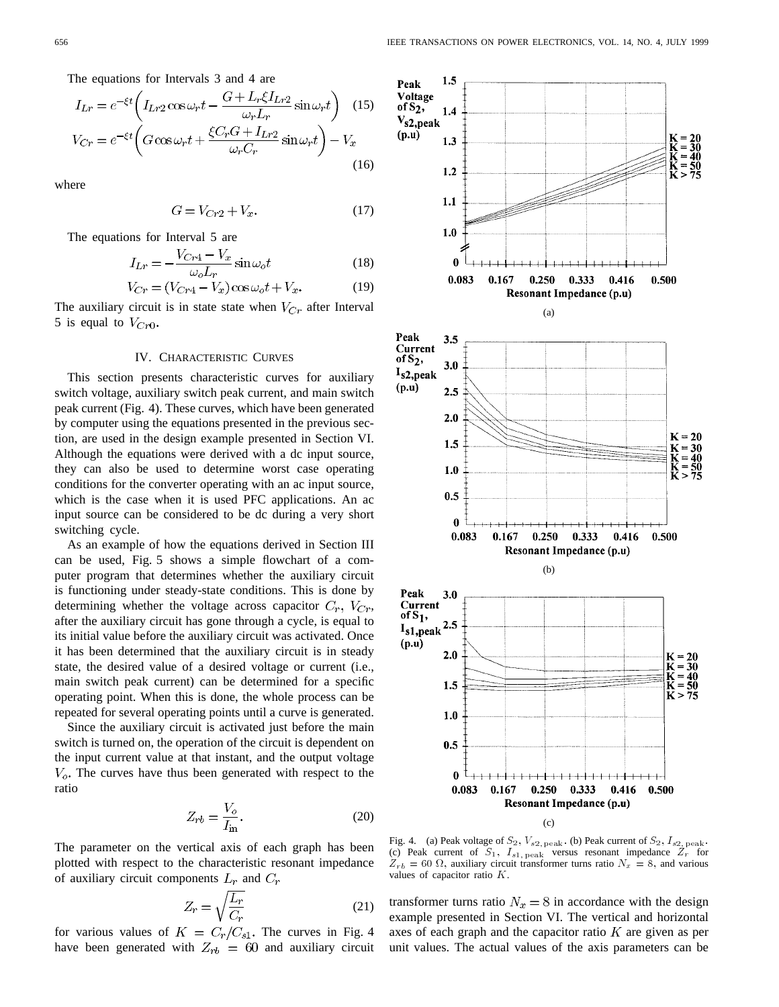The equations for Intervals 3 and 4 are

$$
I_{Lr} = e^{-\xi t} \left( I_{Lr2} \cos \omega_r t - \frac{G + L_r \xi I_{Lr2}}{\omega_r L_r} \sin \omega_r t \right) \tag{15}
$$

$$
V_{Cr} = e^{-\xi t} \left( G \cos \omega_r t + \frac{\xi C_r G + I_{Lr2}}{\omega_r C_r} \sin \omega_r t \right) - V_x \tag{16}
$$

where

$$
G = V_{Cr2} + V_x. \tag{17}
$$

The equations for Interval 5 are

$$
I_{Lr} = -\frac{V_{Cr4} - V_x}{\omega_o L_r} \sin \omega_o t \tag{18}
$$

$$
V_{Cr} = (V_{Cr4} - V_x)\cos\omega_o t + V_x. \tag{19}
$$

The auxiliary circuit is in state state when  $V_{Cr}$  after Interval 5 is equal to  $V_{Cr0}$ .

#### IV. CHARACTERISTIC CURVES

This section presents characteristic curves for auxiliary switch voltage, auxiliary switch peak current, and main switch peak current (Fig. 4). These curves, which have been generated by computer using the equations presented in the previous section, are used in the design example presented in Section VI. Although the equations were derived with a dc input source, they can also be used to determine worst case operating conditions for the converter operating with an ac input source, which is the case when it is used PFC applications. An ac input source can be considered to be dc during a very short switching cycle.

As an example of how the equations derived in Section III can be used, Fig. 5 shows a simple flowchart of a computer program that determines whether the auxiliary circuit is functioning under steady-state conditions. This is done by determining whether the voltage across capacitor  $C_r$ ,  $V_{Cr}$ , after the auxiliary circuit has gone through a cycle, is equal to its initial value before the auxiliary circuit was activated. Once it has been determined that the auxiliary circuit is in steady state, the desired value of a desired voltage or current (i.e., main switch peak current) can be determined for a specific operating point. When this is done, the whole process can be repeated for several operating points until a curve is generated.

Since the auxiliary circuit is activated just before the main switch is turned on, the operation of the circuit is dependent on the input current value at that instant, and the output voltage  $V<sub>o</sub>$ . The curves have thus been generated with respect to the ratio

$$
Z_{rb} = \frac{V_o}{I_{\rm in}}.\t(20)
$$

The parameter on the vertical axis of each graph has been plotted with respect to the characteristic resonant impedance of auxiliary circuit components  $L_r$  and  $C_r$ 

$$
Z_r = \sqrt{\frac{L_r}{C_r}}\tag{21}
$$

for various values of  $K = C_r/C_{s1}$ . The curves in Fig. 4 have been generated with  $Z_{rb} = 60$  and auxiliary circuit



Fig. 4. (a) Peak voltage of  $S_2$ ,  $V_{s2, \text{peak}}$ . (b) Peak current of  $S_2$ ,  $I_{s2, \text{peak}}$ . (c) Peak current of  $S_1$ ,  $I_{s1, peak}$  versus resonant impedance  $Z_r$  for  $Z_{rb} = 60 \Omega$ , auxiliary circuit transformer turns ratio  $N_x = 8$ , and various values of capacitor ratio K.

transformer turns ratio  $N_x = 8$  in accordance with the design example presented in Section VI. The vertical and horizontal axes of each graph and the capacitor ratio  $K$  are given as per unit values. The actual values of the axis parameters can be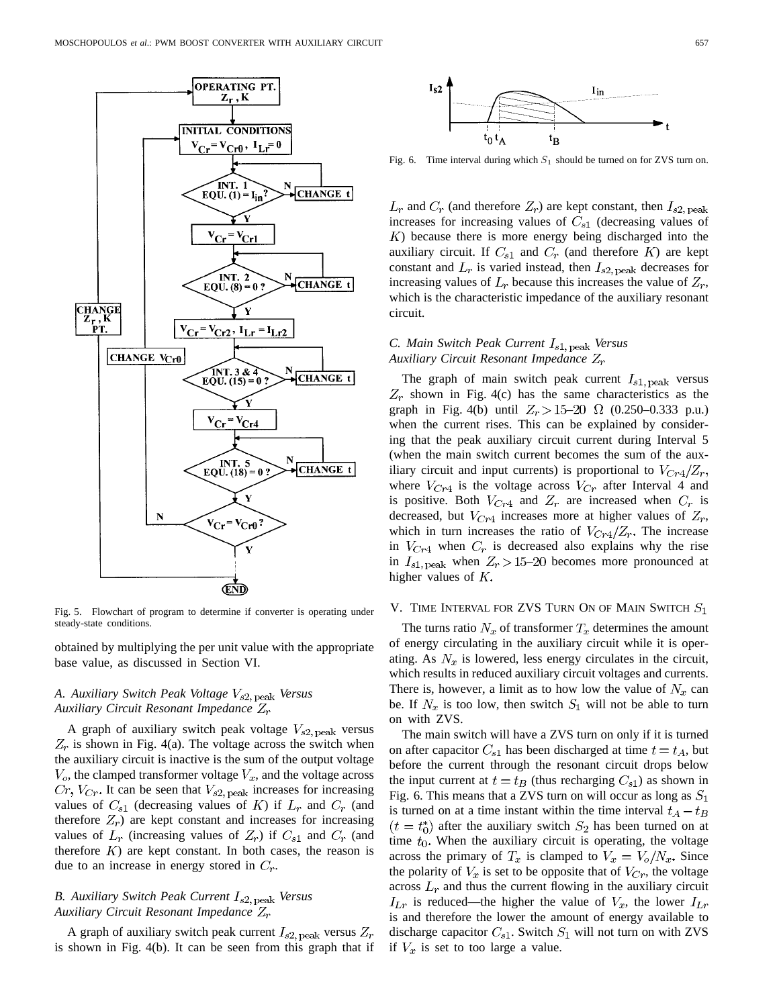

Fig. 5. Flowchart of program to determine if converter is operating under steady-state conditions.

obtained by multiplying the per unit value with the appropriate base value, as discussed in Section VI.

# *A. Auxiliary Switch Peak Voltage Versus Auxiliary Circuit Resonant Impedance*

A graph of auxiliary switch peak voltage  $V_{s2, \text{peak}}$  versus  $Z_r$  is shown in Fig. 4(a). The voltage across the switch when the auxiliary circuit is inactive is the sum of the output voltage  $V_o$ , the clamped transformer voltage  $V_x$ , and the voltage across  $Cr, V_{Cr}$ . It can be seen that  $V_{s2, peak}$  increases for increasing values of  $C_{s1}$  (decreasing values of K) if  $L_r$  and  $C_r$  (and therefore  $Z_r$ ) are kept constant and increases for increasing values of  $L_r$  (increasing values of  $Z_r$ ) if  $C_{s1}$  and  $C_r$  (and therefore  $K$ ) are kept constant. In both cases, the reason is due to an increase in energy stored in  $C_r$ .

# *B. Auxiliary Switch Peak Current*  $I_{s2, \text{peak}}$  Versus *Auxiliary Circuit Resonant Impedance*

A graph of auxiliary switch peak current  $I_{s2, \text{peak}}$  versus  $Z_r$ is shown in Fig. 4(b). It can be seen from this graph that if



Fig. 6. Time interval during which  $S_1$  should be turned on for ZVS turn on.

 $L_r$  and  $C_r$  (and therefore  $Z_r$ ) are kept constant, then  $I_{s2, \text{peak}}$ increases for increasing values of  $C_{s1}$  (decreasing values of  $K$ ) because there is more energy being discharged into the auxiliary circuit. If  $C_{s1}$  and  $C_r$  (and therefore K) are kept constant and  $L_r$  is varied instead, then  $I_{s2, \text{peak}}$  decreases for increasing values of  $L_r$  because this increases the value of  $Z_r$ , which is the characteristic impedance of the auxiliary resonant circuit.

# *C. Main Switch Peak Current*  $I_{s1, peak}$  Versus *Auxiliary Circuit Resonant Impedance*

The graph of main switch peak current  $I_{s1, \text{peak}}$  versus  $Z_r$  shown in Fig. 4(c) has the same characteristics as the graph in Fig. 4(b) until  $Z_r > 15{\text -}20 \Omega$  (0.250–0.333 p.u.) when the current rises. This can be explained by considering that the peak auxiliary circuit current during Interval 5 (when the main switch current becomes the sum of the auxiliary circuit and input currents) is proportional to  $V_{Cr4}/Z_r$ , where  $V_{Cr4}$  is the voltage across  $V_{Cr}$  after Interval 4 and is positive. Both  $V_{Cr4}$  and  $Z_r$  are increased when  $C_r$  is decreased, but  $V_{Cr4}$  increases more at higher values of  $Z_r$ , which in turn increases the ratio of  $V_{Cr4}/Z_r$ . The increase in  $V_{Cr4}$  when  $C_r$  is decreased also explains why the rise in  $I_{s1, \text{peak}}$  when  $Z_r > 15{\text -}20$  becomes more pronounced at higher values of  $K$ .

# V. TIME INTERVAL FOR ZVS TURN ON OF MAIN SWITCH  $S_1$

The turns ratio  $N_x$  of transformer  $T_x$  determines the amount of energy circulating in the auxiliary circuit while it is operating. As  $N_x$  is lowered, less energy circulates in the circuit, which results in reduced auxiliary circuit voltages and currents. There is, however, a limit as to how low the value of  $N_x$  can be. If  $N_x$  is too low, then switch  $S_1$  will not be able to turn on with ZVS.

The main switch will have a ZVS turn on only if it is turned on after capacitor  $C_{s1}$  has been discharged at time  $t = t_A$ , but before the current through the resonant circuit drops below the input current at  $t = t_B$  (thus recharging  $C_{s1}$ ) as shown in Fig. 6. This means that a ZVS turn on will occur as long as  $S_1$ is turned on at a time instant within the time interval  $t_A - t_B$  $(t = t_0^*)$  after the auxiliary switch  $S_2$  has been turned on at time  $t_0$ . When the auxiliary circuit is operating, the voltage across the primary of  $T_x$  is clamped to  $V_x = V_o/N_x$ . Since the polarity of  $V_x$  is set to be opposite that of  $V_{Cr}$ , the voltage across  $L_r$  and thus the current flowing in the auxiliary circuit  $I_{Lr}$  is reduced—the higher the value of  $V_x$ , the lower  $I_{Lr}$ is and therefore the lower the amount of energy available to discharge capacitor  $C_{s1}$ . Switch  $S_1$  will not turn on with ZVS if  $V_x$  is set to too large a value.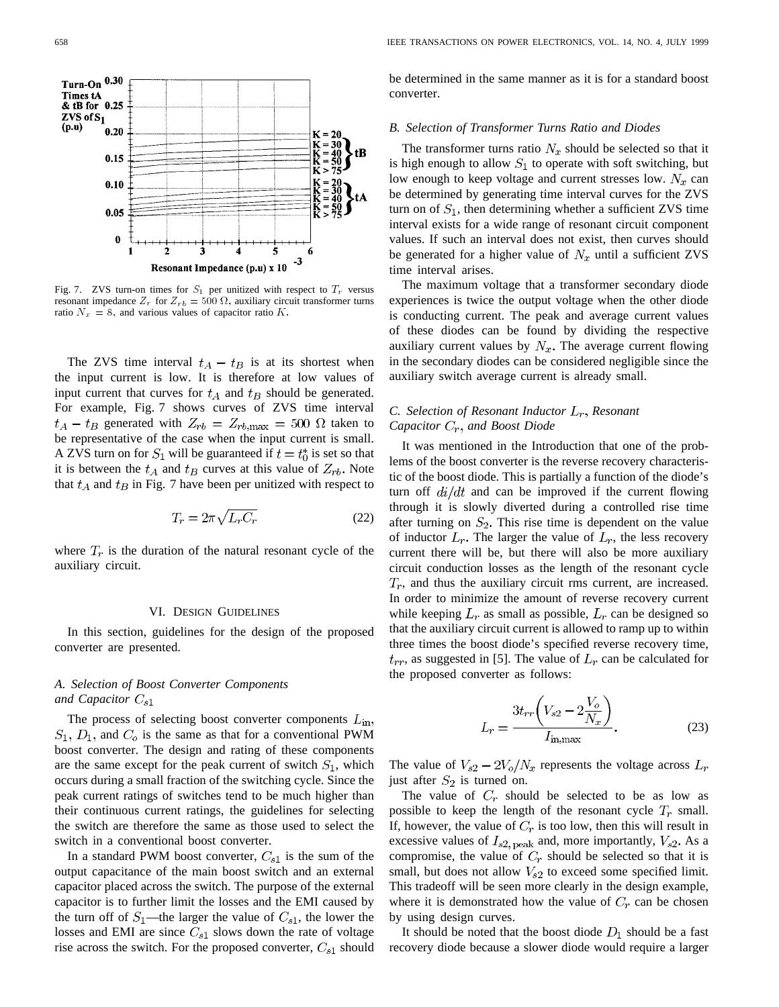

Fig. 7. ZVS turn-on times for  $S_1$  per unitized with respect to  $T_r$  versus resonant impedance  $Z_r$  for  $Z_{rb} = 500 \Omega$ , auxiliary circuit transformer turns ratio  $N_x = 8$ , and various values of capacitor ratio K.

The ZVS time interval  $t_A - t_B$  is at its shortest when the input current is low. It is therefore at low values of input current that curves for  $t_A$  and  $t_B$  should be generated. For example, Fig. 7 shows curves of ZVS time interval  $t_A - t_B$  generated with  $Z_{rb} = Z_{rb, \text{max}} = 500 \Omega$  taken to be representative of the case when the input current is small. A ZVS turn on for  $S_1$  will be guaranteed if  $t = t_0^*$  is set so that it is between the  $t_A$  and  $t_B$  curves at this value of  $Z_{rb}$ . Note that  $t_A$  and  $t_B$  in Fig. 7 have been per unitized with respect to

$$
T_r = 2\pi \sqrt{L_r C_r} \tag{22}
$$

where  $T_r$  is the duration of the natural resonant cycle of the auxiliary circuit.

#### VI. DESIGN GUIDELINES

In this section, guidelines for the design of the proposed converter are presented.

# *A. Selection of Boost Converter Components and Capacitor*

The process of selecting boost converter components  $L_{\text{in}}$ ,  $S_1, D_1$ , and  $C_0$  is the same as that for a conventional PWM boost converter. The design and rating of these components are the same except for the peak current of switch  $S_1$ , which occurs during a small fraction of the switching cycle. Since the peak current ratings of switches tend to be much higher than their continuous current ratings, the guidelines for selecting the switch are therefore the same as those used to select the switch in a conventional boost converter.

In a standard PWM boost converter,  $C_{s1}$  is the sum of the output capacitance of the main boost switch and an external capacitor placed across the switch. The purpose of the external capacitor is to further limit the losses and the EMI caused by the turn off of  $S_1$ —the larger the value of  $C_{s1}$ , the lower the losses and EMI are since  $C_{s1}$  slows down the rate of voltage rise across the switch. For the proposed converter,  $C_{s1}$  should be determined in the same manner as it is for a standard boost converter.

## *B. Selection of Transformer Turns Ratio and Diodes*

The transformer turns ratio  $N_x$  should be selected so that it is high enough to allow  $S_1$  to operate with soft switching, but low enough to keep voltage and current stresses low.  $N_x$  can be determined by generating time interval curves for the ZVS turn on of  $S_1$ , then determining whether a sufficient ZVS time interval exists for a wide range of resonant circuit component values. If such an interval does not exist, then curves should be generated for a higher value of  $N_x$  until a sufficient ZVS time interval arises.

The maximum voltage that a transformer secondary diode experiences is twice the output voltage when the other diode is conducting current. The peak and average current values of these diodes can be found by dividing the respective auxiliary current values by  $N_x$ . The average current flowing in the secondary diodes can be considered negligible since the auxiliary switch average current is already small.

# *C. Selection of Resonant Inductor*  $L_r$ , Resonant *Capacitor*  $C_r$ *, and Boost Diode*

It was mentioned in the Introduction that one of the problems of the boost converter is the reverse recovery characteristic of the boost diode. This is partially a function of the diode's turn off  $di/dt$  and can be improved if the current flowing through it is slowly diverted during a controlled rise time after turning on  $S_2$ . This rise time is dependent on the value of inductor  $L_r$ . The larger the value of  $L_r$ , the less recovery current there will be, but there will also be more auxiliary circuit conduction losses as the length of the resonant cycle  $T_r$ , and thus the auxiliary circuit rms current, are increased. In order to minimize the amount of reverse recovery current while keeping  $L_r$  as small as possible,  $L_r$  can be designed so that the auxiliary circuit current is allowed to ramp up to within three times the boost diode's specified reverse recovery time,  $t_{rr}$ , as suggested in [5]. The value of  $L_r$  can be calculated for the proposed converter as follows:

$$
L_r = \frac{3t_{rr}\left(V_{s2} - 2\frac{V_o}{N_x}\right)}{I_{\text{in,max}}}.\tag{23}
$$

The value of  $V_{s2} - 2V_o/N_x$  represents the voltage across  $L_r$ just after  $S_2$  is turned on.

The value of  $C_r$  should be selected to be as low as possible to keep the length of the resonant cycle  $T_r$  small. If, however, the value of  $C_r$  is too low, then this will result in excessive values of  $I_{s2, \text{peak}}$  and, more importantly,  $V_{s2}$ . As a compromise, the value of  $C_r$  should be selected so that it is small, but does not allow  $V_{s2}$  to exceed some specified limit. This tradeoff will be seen more clearly in the design example, where it is demonstrated how the value of  $C_r$  can be chosen by using design curves.

It should be noted that the boost diode  $D_1$  should be a fast recovery diode because a slower diode would require a larger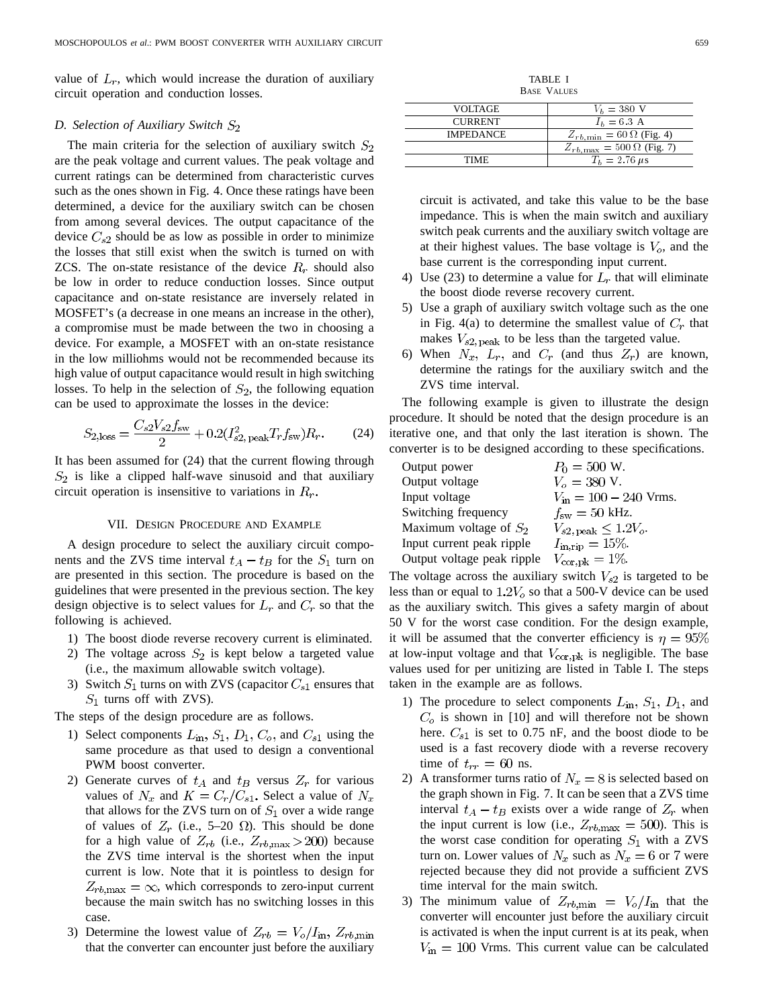value of  $L_r$ , which would increase the duration of auxiliary circuit operation and conduction losses.

#### *D. Selection of Auxiliary Switch*

The main criteria for the selection of auxiliary switch  $S_2$ are the peak voltage and current values. The peak voltage and current ratings can be determined from characteristic curves such as the ones shown in Fig. 4. Once these ratings have been determined, a device for the auxiliary switch can be chosen from among several devices. The output capacitance of the device  $C_{s2}$  should be as low as possible in order to minimize the losses that still exist when the switch is turned on with ZCS. The on-state resistance of the device  $R_r$  should also be low in order to reduce conduction losses. Since output capacitance and on-state resistance are inversely related in MOSFET's (a decrease in one means an increase in the other), a compromise must be made between the two in choosing a device. For example, a MOSFET with an on-state resistance in the low milliohms would not be recommended because its high value of output capacitance would result in high switching losses. To help in the selection of  $S_2$ , the following equation can be used to approximate the losses in the device:

$$
S_{2,\text{loss}} = \frac{C_{s2}V_{s2}f_{\text{sw}}}{2} + 0.2(I_{s2,\text{peak}}^2T_r f_{\text{sw}})R_r.
$$
 (24)

It has been assumed for (24) that the current flowing through  $S_2$  is like a clipped half-wave sinusoid and that auxiliary circuit operation is insensitive to variations in  $R_r$ .

#### VII. DESIGN PROCEDURE AND EXAMPLE

A design procedure to select the auxiliary circuit components and the ZVS time interval  $t_A - t_B$  for the  $S_1$  turn on are presented in this section. The procedure is based on the guidelines that were presented in the previous section. The key design objective is to select values for  $L_r$  and  $C_r$  so that the following is achieved.

- 1) The boost diode reverse recovery current is eliminated.
- 2) The voltage across  $S_2$  is kept below a targeted value (i.e., the maximum allowable switch voltage).
- 3) Switch  $S_1$  turns on with ZVS (capacitor  $C_{s1}$  ensures that  $S_1$  turns off with ZVS).

The steps of the design procedure are as follows.

- 1) Select components  $L_{\text{in}}$ ,  $S_1$ ,  $D_1$ ,  $C_o$ , and  $C_{s1}$  using the same procedure as that used to design a conventional PWM boost converter.
- 2) Generate curves of  $t_A$  and  $t_B$  versus  $Z_r$  for various values of  $N_x$  and  $K = C_r/C_{s1}$ . Select a value of  $N_x$ that allows for the ZVS turn on of  $S_1$  over a wide range of values of  $Z_r$  (i.e., 5–20  $\Omega$ ). This should be done for a high value of  $Z_{rb}$  (i.e.,  $Z_{rb, \text{max}} > 200$ ) because the ZVS time interval is the shortest when the input current is low. Note that it is pointless to design for  $Z_{rb,\text{max}} = \infty$ , which corresponds to zero-input current because the main switch has no switching losses in this case.
- 3) Determine the lowest value of  $Z_{rb} = V_o/I_{\text{in}}$ ,  $Z_{rb,\text{min}}$ that the converter can encounter just before the auxiliary

TABLE I BASE VALUES

| VOLTAGE          | $V_b = 380$ V                                |
|------------------|----------------------------------------------|
| <b>CURRENT</b>   | $I_{h} = 6.3 \text{ A}$                      |
| <b>IMPEDANCE</b> | $Z_{rb,min} = 60 \Omega$ (Fig. 4)            |
|                  | $Z_{rb, \text{max}} = 500 \,\Omega$ (Fig. 7) |
| TIME             | $T_h = 2.76 \,\mu s$                         |

circuit is activated, and take this value to be the base impedance. This is when the main switch and auxiliary switch peak currents and the auxiliary switch voltage are at their highest values. The base voltage is  $V<sub>o</sub>$ , and the base current is the corresponding input current.

- 4) Use (23) to determine a value for  $L<sub>r</sub>$  that will eliminate the boost diode reverse recovery current.
- 5) Use a graph of auxiliary switch voltage such as the one in Fig. 4(a) to determine the smallest value of  $C_r$  that makes  $V_{s2, \text{peak}}$  to be less than the targeted value.
- 6) When  $N_x$ ,  $L_r$ , and  $C_r$  (and thus  $Z_r$ ) are known, determine the ratings for the auxiliary switch and the ZVS time interval.

The following example is given to illustrate the design procedure. It should be noted that the design procedure is an iterative one, and that only the last iteration is shown. The converter is to be designed according to these specifications.

| Output power               | $P_0 = 500$ W.                      |
|----------------------------|-------------------------------------|
| Output voltage             | $V_{o} = 380$ V.                    |
| Input voltage              | $V_{\text{in}} = 100 - 240$ Vrms.   |
| Switching frequency        | $f_{\rm sw} = 50$ kHz.              |
| Maximum voltage of $S_2$   | $V_{s2, \text{peak}} \leq 1.2 V_o.$ |
| Input current peak ripple  | $I_{\rm in,rip} = 15\%.$            |
| Output voltage peak ripple | $V_{\rm cor,pk} = 1\%.$             |

The voltage across the auxiliary switch  $V_{s2}$  is targeted to be less than or equal to  $1.2V<sub>o</sub>$  so that a 500-V device can be used as the auxiliary switch. This gives a safety margin of about 50 V for the worst case condition. For the design example, it will be assumed that the converter efficiency is  $\eta = 95\%$ at low-input voltage and that  $V_{\text{cor,pk}}$  is negligible. The base values used for per unitizing are listed in Table I. The steps taken in the example are as follows.

- 1) The procedure to select components  $L_{\text{in}}$ ,  $S_1$ ,  $D_1$ , and  $C<sub>o</sub>$  is shown in [10] and will therefore not be shown here.  $C_{s1}$  is set to 0.75 nF, and the boost diode to be used is a fast recovery diode with a reverse recovery time of  $t_{rr} = 60$  ns.
- 2) A transformer turns ratio of  $N_x = 8$  is selected based on the graph shown in Fig. 7. It can be seen that a ZVS time interval  $t_A - t_B$  exists over a wide range of  $Z_r$  when the input current is low (i.e.,  $Z_{rb,\text{max}} = 500$ ). This is the worst case condition for operating  $S_1$  with a ZVS turn on. Lower values of  $N_x$  such as  $N_x = 6$  or 7 were rejected because they did not provide a sufficient ZVS time interval for the main switch.
- 3) The minimum value of  $Z_{rb,\text{min}} = V_o/I_{\text{in}}$  that the converter will encounter just before the auxiliary circuit is activated is when the input current is at its peak, when  $V_{\rm in} = 100$  Vrms. This current value can be calculated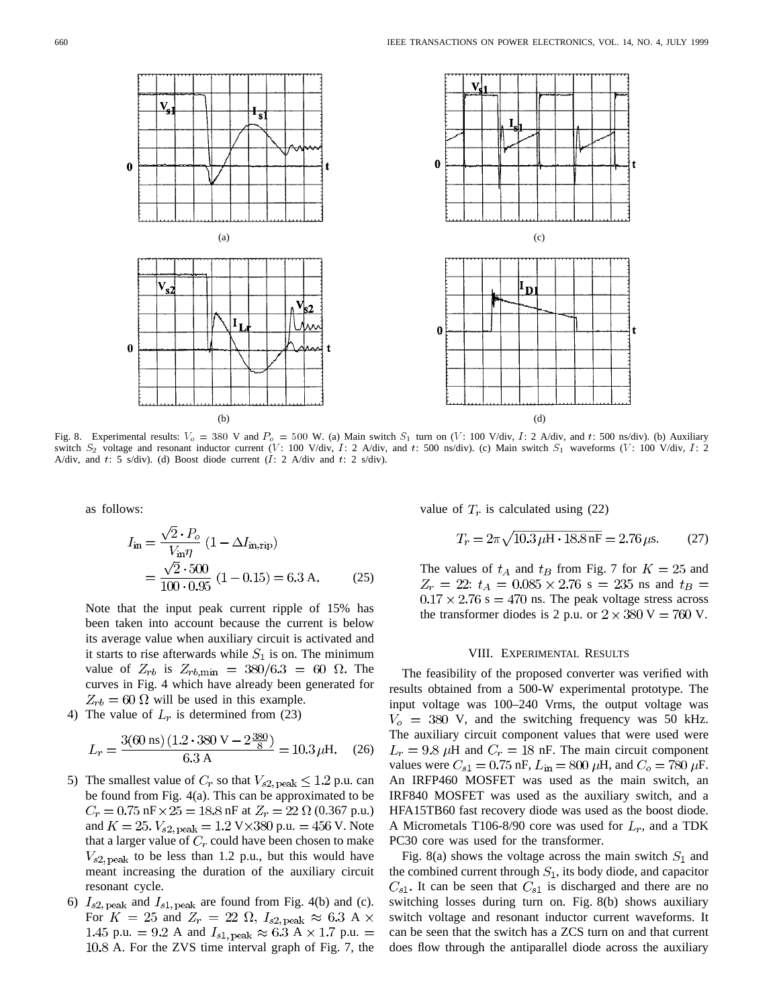

Fig. 8. Experimental results:  $V_0 = 380$  V and  $P_0 = 500$  W. (a) Main switch  $S_1$  turn on (V: 100 V/div, I: 2 A/div, and t: 500 ns/div). (b) Auxiliary switch  $S_2$  voltage and resonant inductor current (V: 100 V/div, I: 2 A/div, and t: 500 ns/div). (c) Main switch  $S_1$  waveforms (V: 100 V/div, I: 2 A/div, and t:  $5$  s/div). (d) Boost diode current ( $\overline{I}$ : 2 A/div and t: 2 s/div).

as follows:

$$
I_{\rm in} = \frac{\sqrt{2} \cdot P_o}{V_{\rm in} \eta} (1 - \Delta I_{\rm in,rip})
$$
  
=  $\frac{\sqrt{2} \cdot 500}{100 \cdot 0.95} (1 - 0.15) = 6.3 \text{ A}.$  (25)

Note that the input peak current ripple of 15% has been taken into account because the current is below its average value when auxiliary circuit is activated and it starts to rise afterwards while  $S_1$  is on. The minimum value of  $Z_{rb}$  is  $Z_{rb,\text{min}} = 380/6.3 = 60 \Omega$ . The curves in Fig. 4 which have already been generated for  $Z_{rb} = 60 \Omega$  will be used in this example.

4) The value of  $L<sub>r</sub>$  is determined from (23)

$$
L_r = \frac{3(60 \text{ ns})(1.2 \cdot 380 \text{ V} - 2\frac{380}{8})}{6.3 \text{ A}} = 10.3 \,\mu\text{H.}
$$
 (26)

- 5) The smallest value of  $C_r$  so that  $V_{s2, \text{peak}} \leq 1.2$  p.u. can be found from Fig. 4(a). This can be approximated to be  $C_r = 0.75 \text{ nF} \times 25 = 18.8 \text{ nF} \text{ at } Z_r = 22 \Omega (0.367 \text{ p.u.})$ and  $K = 25$ .  $V_{s2, peak} = 1.2 \text{ V} \times 380 \text{ p.u.} = 456 \text{ V}$ . Note that a larger value of  $C_r$  could have been chosen to make  $V_{s2, \text{peak}}$  to be less than 1.2 p.u., but this would have meant increasing the duration of the auxiliary circuit resonant cycle.
- 6)  $I_{s2, \text{peak}}$  and  $I_{s1, \text{peak}}$  are found from Fig. 4(b) and (c). For  $K = 25$  and  $Z_r = 22 \Omega$ ,  $I_{s2, peak} \approx 6.3 A \times$ 1.45 p.u. = 9.2 A and  $I_{s1,peak} \approx 6.3 \text{ A} \times 1.7 \text{ p.u.} =$ 10.8 A. For the ZVS time interval graph of Fig. 7, the

value of  $T_r$  is calculated using (22)

$$
T_r = 2\pi \sqrt{10.3 \,\mu\text{H} \cdot 18.8 \,\text{nF}} = 2.76 \,\mu\text{s}.\tag{27}
$$

The values of  $t_A$  and  $t_B$  from Fig. 7 for  $K = 25$  and  $Z_r = 22$ :  $t_A = 0.085 \times 2.76$  s = 235 ns and  $t_B$  =  $0.17 \times 2.76$  s = 470 ns. The peak voltage stress across the transformer diodes is 2 p.u. or  $2 \times 380$  V = 760 V.

#### VIII. EXPERIMENTAL RESULTS

The feasibility of the proposed converter was verified with results obtained from a 500-W experimental prototype. The input voltage was 100–240 Vrms, the output voltage was  $V_o = 380$  V, and the switching frequency was 50 kHz. The auxiliary circuit component values that were used were  $L_r = 9.8 \mu H$  and  $C_r = 18 \text{ nF}$ . The main circuit component values were  $C_{s1} = 0.75$  nF,  $L_{in} = 800 \,\mu$ H, and  $C_o = 780 \,\mu$ F. An IRFP460 MOSFET was used as the main switch, an IRF840 MOSFET was used as the auxiliary switch, and a HFA15TB60 fast recovery diode was used as the boost diode. A Micrometals T106-8/90 core was used for  $L_r$ , and a TDK PC30 core was used for the transformer.

Fig. 8(a) shows the voltage across the main switch  $S_1$  and the combined current through  $S_1$ , its body diode, and capacitor  $C_{s1}$ . It can be seen that  $C_{s1}$  is discharged and there are no switching losses during turn on. Fig. 8(b) shows auxiliary switch voltage and resonant inductor current waveforms. It can be seen that the switch has a ZCS turn on and that current does flow through the antiparallel diode across the auxiliary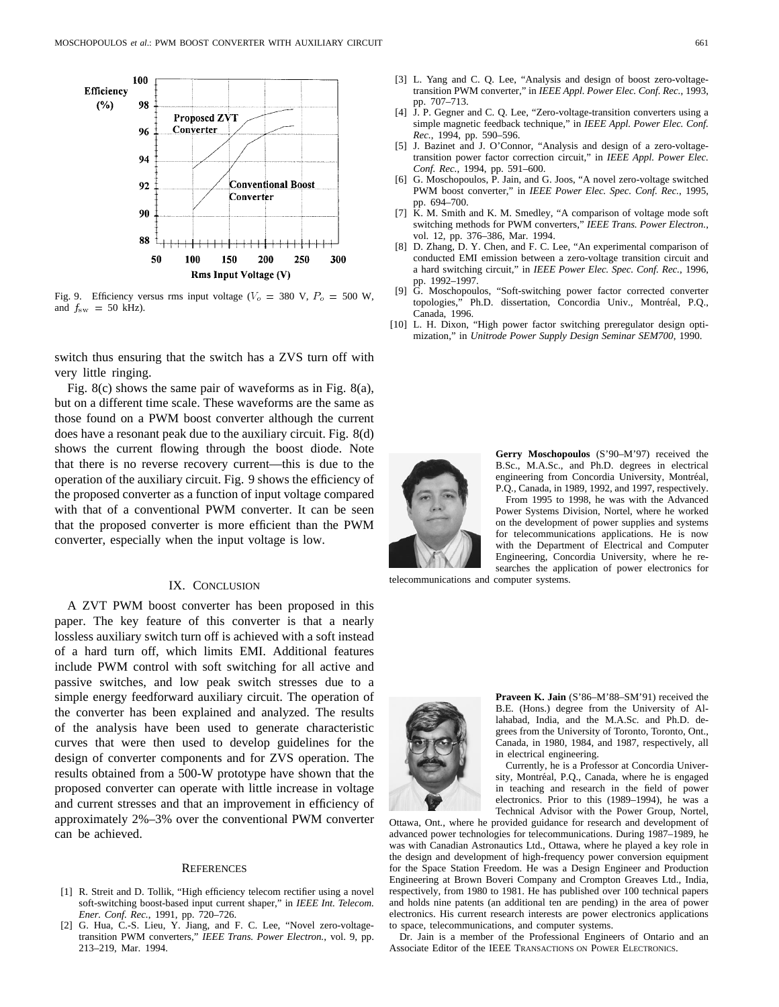

Fig. 9. Efficiency versus rms input voltage ( $V_o = 380$  V,  $P_o = 500$  W, and  $f_{\rm sw} = 50$  kHz).

switch thus ensuring that the switch has a ZVS turn off with very little ringing.

Fig. 8(c) shows the same pair of waveforms as in Fig. 8(a), but on a different time scale. These waveforms are the same as those found on a PWM boost converter although the current does have a resonant peak due to the auxiliary circuit. Fig. 8(d) shows the current flowing through the boost diode. Note that there is no reverse recovery current—this is due to the operation of the auxiliary circuit. Fig. 9 shows the efficiency of the proposed converter as a function of input voltage compared with that of a conventional PWM converter. It can be seen that the proposed converter is more efficient than the PWM converter, especially when the input voltage is low.

#### IX. CONCLUSION

A ZVT PWM boost converter has been proposed in this paper. The key feature of this converter is that a nearly lossless auxiliary switch turn off is achieved with a soft instead of a hard turn off, which limits EMI. Additional features include PWM control with soft switching for all active and passive switches, and low peak switch stresses due to a simple energy feedforward auxiliary circuit. The operation of the converter has been explained and analyzed. The results of the analysis have been used to generate characteristic curves that were then used to develop guidelines for the design of converter components and for ZVS operation. The results obtained from a 500-W prototype have shown that the proposed converter can operate with little increase in voltage and current stresses and that an improvement in efficiency of approximately 2%–3% over the conventional PWM converter can be achieved.

#### **REFERENCES**

- [1] R. Streit and D. Tollik, "High efficiency telecom rectifier using a novel soft-switching boost-based input current shaper," in *IEEE Int. Telecom. Ener. Conf. Rec.*, 1991, pp. 720–726.
- [2] G. Hua, C.-S. Lieu, Y. Jiang, and F. C. Lee, "Novel zero-voltagetransition PWM converters," *IEEE Trans. Power Electron.*, vol. 9, pp. 213–219, Mar. 1994.
- [3] L. Yang and C. Q. Lee, "Analysis and design of boost zero-voltagetransition PWM converter," in *IEEE Appl. Power Elec. Conf. Rec.*, 1993, pp. 707–713.
- [4] J. P. Gegner and C. Q. Lee, "Zero-voltage-transition converters using a simple magnetic feedback technique," in *IEEE Appl. Power Elec. Conf. Rec.*, 1994, pp. 590–596.
- [5] J. Bazinet and J. O'Connor, "Analysis and design of a zero-voltagetransition power factor correction circuit," in *IEEE Appl. Power Elec. Conf. Rec.*, 1994, pp. 591–600.
- [6] G. Moschopoulos, P. Jain, and G. Joos, "A novel zero-voltage switched PWM boost converter," in *IEEE Power Elec. Spec. Conf. Rec.*, 1995, pp. 694–700.
- [7] K. M. Smith and K. M. Smedley, "A comparison of voltage mode soft switching methods for PWM converters," *IEEE Trans. Power Electron.*, vol. 12, pp. 376–386, Mar. 1994.
- [8] D. Zhang, D. Y. Chen, and F. C. Lee, "An experimental comparison of conducted EMI emission between a zero-voltage transition circuit and a hard switching circuit," in *IEEE Power Elec. Spec. Conf. Rec.*, 1996, pp. 1992–1997.
- [9] G. Moschopoulos, "Soft-switching power factor corrected converter topologies," Ph.D. dissertation, Concordia Univ., Montréal, P.Q., Canada, 1996.
- [10] L. H. Dixon, "High power factor switching preregulator design optimization," in *Unitrode Power Supply Design Seminar SEM700*, 1990.



**Gerry Moschopoulos** (S'90–M'97) received the B.Sc., M.A.Sc., and Ph.D. degrees in electrical engineering from Concordia University, Montréal, P.Q., Canada, in 1989, 1992, and 1997, respectively.

From 1995 to 1998, he was with the Advanced Power Systems Division, Nortel, where he worked on the development of power supplies and systems for telecommunications applications. He is now with the Department of Electrical and Computer Engineering, Concordia University, where he researches the application of power electronics for

telecommunications and computer systems.



Praveen K. Jain (S'86–M'88–SM'91) received the B.E. (Hons.) degree from the University of Allahabad, India, and the M.A.Sc. and Ph.D. degrees from the University of Toronto, Toronto, Ont., Canada, in 1980, 1984, and 1987, respectively, all in electrical engineering.

Currently, he is a Professor at Concordia University, Montréal, P.Q., Canada, where he is engaged in teaching and research in the field of power electronics. Prior to this (1989–1994), he was a Technical Advisor with the Power Group, Nortel,

Ottawa, Ont., where he provided guidance for research and development of advanced power technologies for telecommunications. During 1987–1989, he was with Canadian Astronautics Ltd., Ottawa, where he played a key role in the design and development of high-frequency power conversion equipment for the Space Station Freedom. He was a Design Engineer and Production Engineering at Brown Boveri Company and Crompton Greaves Ltd., India, respectively, from 1980 to 1981. He has published over 100 technical papers and holds nine patents (an additional ten are pending) in the area of power electronics. His current research interests are power electronics applications to space, telecommunications, and computer systems.

Dr. Jain is a member of the Professional Engineers of Ontario and an Associate Editor of the IEEE TRANSACTIONS ON POWER ELECTRONICS.